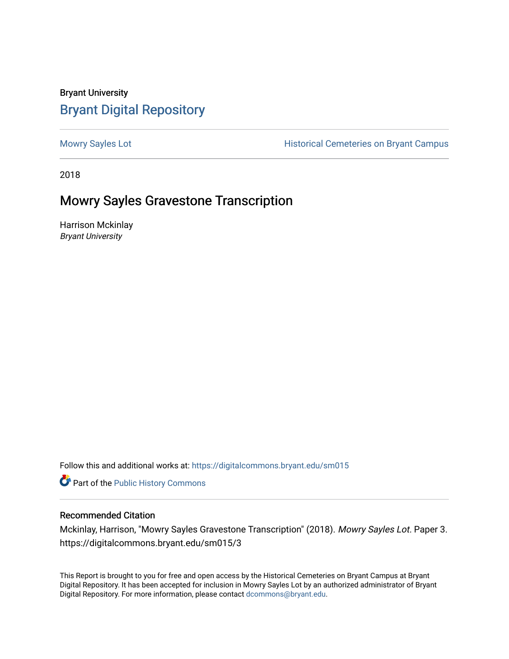## Bryant University [Bryant Digital Repository](https://digitalcommons.bryant.edu/)

[Mowry Sayles Lot](https://digitalcommons.bryant.edu/sm015) **Mowry Sayles Lot Historical Cemeteries on Bryant Campus** 

2018

## Mowry Sayles Gravestone Transcription

Harrison Mckinlay Bryant University

Follow this and additional works at: [https://digitalcommons.bryant.edu/sm015](https://digitalcommons.bryant.edu/sm015?utm_source=digitalcommons.bryant.edu%2Fsm015%2F3&utm_medium=PDF&utm_campaign=PDFCoverPages) 

**Part of the Public History Commons** 

## Recommended Citation

Mckinlay, Harrison, "Mowry Sayles Gravestone Transcription" (2018). Mowry Sayles Lot. Paper 3. https://digitalcommons.bryant.edu/sm015/3

This Report is brought to you for free and open access by the Historical Cemeteries on Bryant Campus at Bryant Digital Repository. It has been accepted for inclusion in Mowry Sayles Lot by an authorized administrator of Bryant Digital Repository. For more information, please contact [dcommons@bryant.edu](mailto:dcommons@bryant.edu).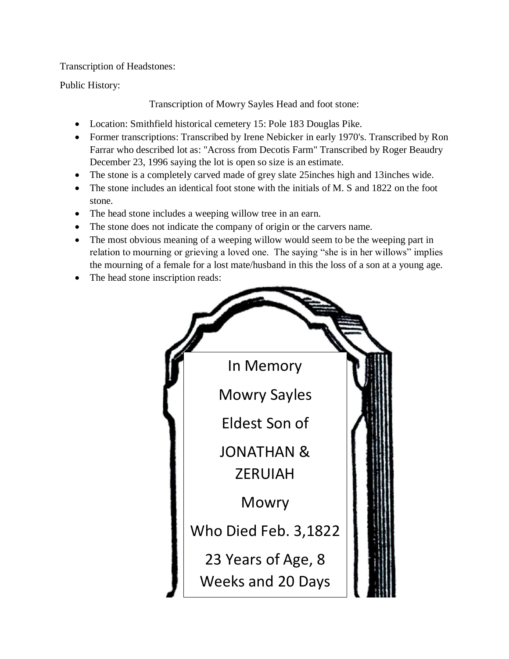Transcription of Headstones:

Public History:

Transcription of Mowry Sayles Head and foot stone:

- Location: Smithfield historical cemetery 15: Pole 183 Douglas Pike.
- Former transcriptions: Transcribed by Irene Nebicker in early 1970's. Transcribed by Ron Farrar who described lot as: "Across from Decotis Farm" Transcribed by Roger Beaudry December 23, 1996 saying the lot is open so size is an estimate.
- The stone is a completely carved made of grey slate 25 inches high and 13 inches wide.
- The stone includes an identical foot stone with the initials of M. S and 1822 on the foot stone.
- The head stone includes a weeping willow tree in an earn.
- The stone does not indicate the company of origin or the carvers name.
- The most obvious meaning of a weeping willow would seem to be the weeping part in relation to mourning or grieving a loved one. The saying "she is in her willows" implies the mourning of a female for a lost mate/husband in this the loss of a son at a young age.
- The head stone inscription reads:

| In Memory                                      |  |
|------------------------------------------------|--|
| <b>Mowry Sayles</b>                            |  |
| Eldest Son of                                  |  |
| <b>JONATHAN &amp;</b><br><b>ZERUIAH</b>        |  |
| Mowry                                          |  |
| Who Died Feb. 3,1822                           |  |
| 23 Years of Age, 8<br><b>Weeks and 20 Days</b> |  |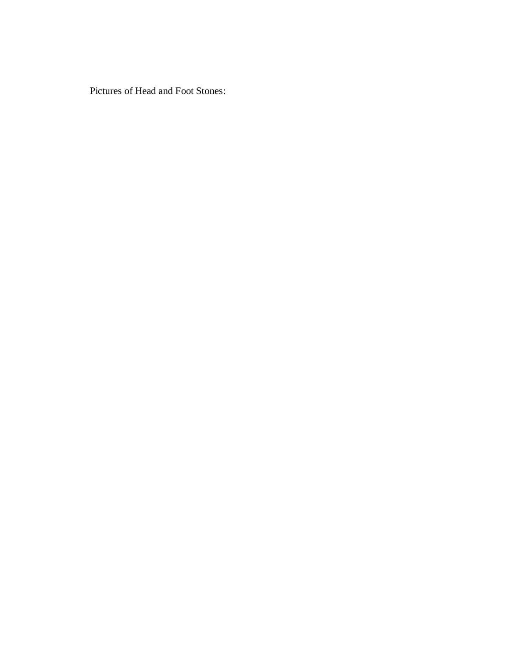Pictures of Head and Foot Stones: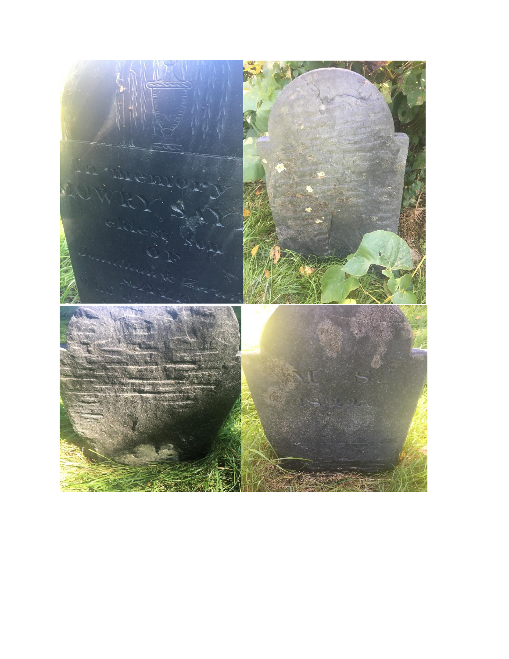